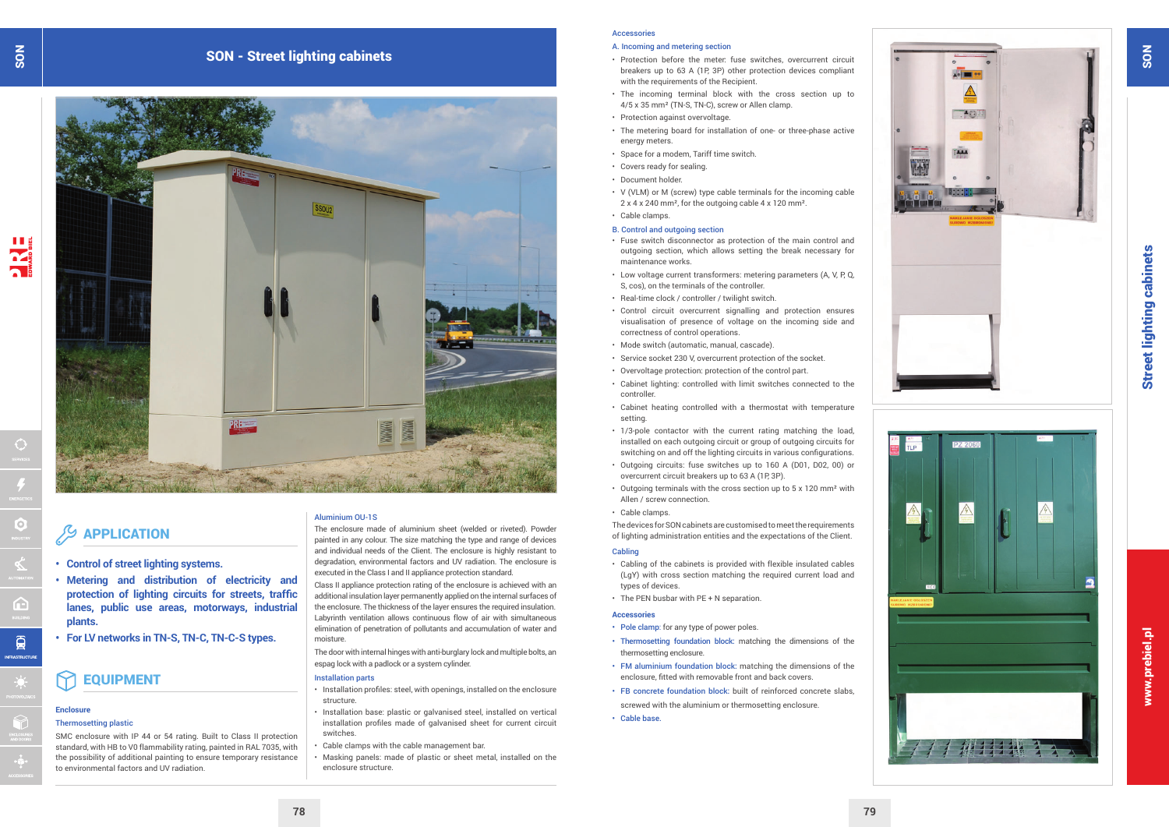#### SON - Street lighting cabinets



### **APPLICATION**

- **• Control of street lighting systems.**
- **• Metering and distribution of electricity and protection of lighting circuits for streets, traffic lanes, public use areas, motorways, industrial plants.**
- **• For LV networks in TN-S, TN-C, TN-C-S types.**

#### **EQUIPMENT**

#### **Enclosure**

#### Thermosetting plastic

SMC enclosure with IP 44 or 54 rating. Built to Class II protection standard, with HB to V0 flammability rating, painted in RAL 7035, with the possibility of additional painting to ensure temporary resistance to environmental factors and UV radiation.

#### Aluminium OU-1S

The enclosure made of aluminium sheet (welded or riveted). Powder painted in any colour. The size matching the type and range of devices and individual needs of the Client. The enclosure is highly resistant to degradation, environmental factors and UV radiation. The enclosure is executed in the Class I and II appliance protection standard.

# **Street lighting cabinets** Street lighting cabinets

## www.prebiel.pl www.prebiel.pl

Class II appliance protection rating of the enclosure is achieved with an additional insulation layer permanently applied on the internal surfaces of the enclosure. The thickness of the layer ensures the required insulation. Labyrinth ventilation allows continuous flow of air with simultaneous elimination of penetration of pollutants and accumulation of water and moisture.

The door with internal hinges with anti-burglary lock and multiple bolts, an espag lock with a padlock or a system cylinder.

#### Installation parts

- Installation profiles: steel, with openings, installed on the enclosure structure.
- Installation base: plastic or galvanised steel, installed on vertical installation profiles made of galvanised sheet for current circuit switches.
- Cable clamps with the cable management bar.
- Masking panels: made of plastic or sheet metal, installed on the enclosure structure.

SON

#### Accessories

#### A. Incoming and metering section

- Protection before the meter: fuse switches, overcurrent circuit breakers up to 63 A (1P, 3P) other protection devices compliant with the requirements of the Recipient.
- The incoming terminal block with the cross section up to 4/5 x 35 mm² (TN-S, TN-C), screw or Allen clamp.
- Protection against overvoltage.
- The metering board for installation of one- or three-phase active energy meters.
- Space for a modem, Tariff time switch.
- Covers ready for sealing.
- Document holder.
- V (VLM) or M (screw) type cable terminals for the incoming cable 2 x 4 x 240 mm², for the outgoing cable 4 x 120 mm².
- Cable clamps.

#### B. Control and outgoing section

- Fuse switch disconnector as protection of the main control and outgoing section, which allows setting the break necessary for maintenance works.
- Low voltage current transformers: metering parameters (A, V, P, Q, S, cos), on the terminals of the controller.
- Real-time clock / controller / twilight switch.
- Control circuit overcurrent signalling and protection ensures visualisation of presence of voltage on the incoming side and correctness of control operations.
- Mode switch (automatic, manual, cascade).
- Service socket 230 V, overcurrent protection of the socket.
- Overvoltage protection: protection of the control part.
- Cabinet lighting: controlled with limit switches connected to the controller.
- Cabinet heating controlled with a thermostat with temperature setting.
- 1/3-pole contactor with the current rating matching the load, installed on each outgoing circuit or group of outgoing circuits for switching on and off the lighting circuits in various configurations.
- Outgoing circuits: fuse switches up to 160 A (D01, D02, 00) or overcurrent circuit breakers up to 63 A (1P, 3P).
- Outgoing terminals with the cross section up to 5 x 120 mm² with Allen / screw connection.
- Cable clamps.

The devices for SON cabinets are customised to meet the requirements of lighting administration entities and the expectations of the Client.

#### Cabling

- Cabling of the cabinets is provided with flexible insulated cables (LgY) with cross section matching the required current load and types of devices.
- The PEN busbar with PE + N separation.

#### **Accessories**

- Pole clamp: for any type of power poles.
- Thermosetting foundation block: matching the dimensions of the thermosetting enclosure.
- FM aluminium foundation block: matching the dimensions of the enclosure, fitted with removable front and back covers.
- FB concrete foundation block: built of reinforced concrete slabs, screwed with the aluminium or thermosetting enclosure.
- Cable base.

 $\bullet$ 

 $\tilde{\mathbf{K}}$ 

臼

頁